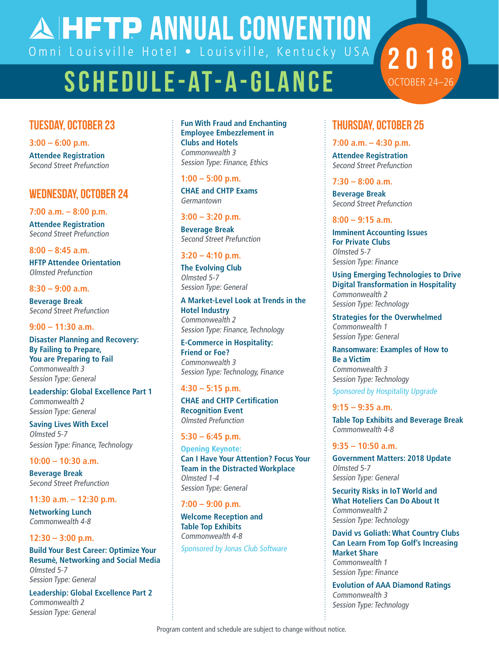**AHETP ANNUAL CONVENTION** Omni Louisville Hotel . Louisville, Kentucky USA

# schedule-at-a-Glance

# Tuesday, October 23

**3:00 – 6:00 p.m. Attendee Registration** Second Street Prefunction

### wednesday, October 24

**7:00 a.m. – 8:00 p.m. Attendee Registration** Second Street Prefunction

#### **8:00 – 8:45 a.m.**

**HFTP Attendee Orientation** Olmsted Prefunction

#### **8:30 – 9:00 a.m.**

**Beverage Break** Second Street Prefunction

#### **9:00 – 11:30 a.m.**

**Disaster Planning and Recovery: By Failing to Prepare, You are Preparing to Fail** Commonwealth 3 Session Type: General

**Leadership: Global Excellence Part 1** Commonwealth 2 Session Type: General

**Saving Lives With Excel** Olmsted 5-7 Session Type: Finance, Technology

#### **10:00 – 10:30 a.m.**

**Beverage Break** Second Street Prefunction

#### **11:30 a.m. – 12:30 p.m.**

**Networking Lunch** Commonwealth 4-8

#### **12:30 – 3:00 p.m.**

**Build Your Best Career: Optimize Your Resumè, Networking and Social Media** Olmsted 5-7 Session Type: General

**Leadership: Global Excellence Part 2** Commonwealth 2 Session Type: General

**Fun With Fraud and Enchanting Employee Embezzlement in Clubs and Hotels** Commonwealth 3 Session Type: Finance, Ethics

#### **1:00 – 5:00 p.m.**

**CHAE and CHTP Exams** Germantown

#### **3:00 – 3:20 p.m.**

**Beverage Break** Second Street Prefunction

#### **3:20 – 4:10 p.m.**

**The Evolving Club** Olmsted 5-7 Session Type: General

**A Market-Level Look at Trends in the Hotel Industry** Commonwealth 2 Session Type: Finance, Technology

#### **E-Commerce in Hospitality: Friend or Foe?** Commonwealth 3 Session Type: Technology, Finance

#### **4:30 – 5:15 p.m.**

**CHAE and CHTP Certification Recognition Event** Olmsted Prefunction

#### **5:30 – 6:45 p.m.**

**Opening Keynote: Can I Have Your Attention? Focus Your Team in the Distracted Workplace** Olmsted 1-4 Session Type: General

#### **7:00 – 9:00 p.m.**

**Welcome Reception and Table Top Exhibits** Commonwealth 4-8 Sponsored by Jonas Club Software

## thursday, October 25

2018

OCTOBER 24-

#### **7:00 a.m. – 4:30 p.m.**

**Attendee Registration** Second Street Prefunction

#### **7:30 – 8:00 a.m.**

**Beverage Break** Second Street Prefunction

#### **8:00 – 9:15 a.m.**

**Imminent Accounting Issues For Private Clubs** Olmsted 5-7 Session Type: Finance

**Using Emerging Technologies to Drive Digital Transformation in Hospitality** Commonwealth 2 Session Type: Technology

**Strategies for the Overwhelmed** Commonwealth 1 Session Type: General

**Ransomware: Examples of How to Be a Victim** Commonwealth 3 Session Type: Technology

Sponsored by Hospitality Upgrade

#### **9:15 – 9:35 a.m.**

**Table Top Exhibits and Beverage Break** Commonwealth 4-8

#### **9:35 – 10:50 a.m.**

**Government Matters: 2018 Update** Olmsted 5-7 Session Type: General

**Security Risks in IoT World and What Hoteliers Can Do About It** Commonwealth 2 Session Type: Technology

**David vs Goliath: What Country Clubs Can Learn From Top Golf's Increasing Market Share** Commonwealth 1 Session Type: Finance

**Evolution of AAA Diamond Ratings** Commonwealth 3 Session Type: Technology